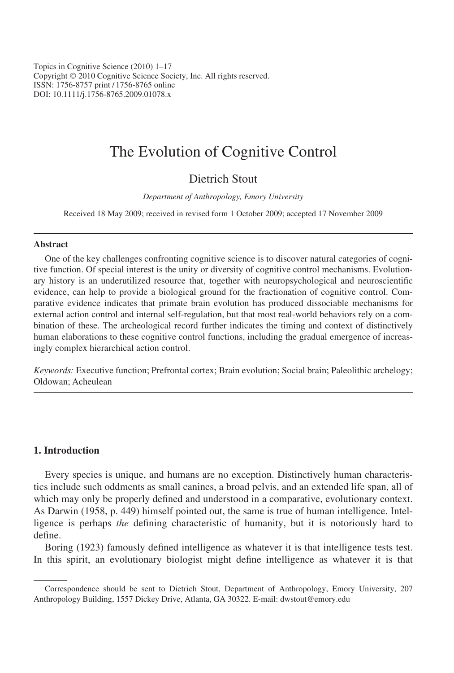Topics in Cognitive Science (2010) 1–17 Copyright © 2010 Cognitive Science Society, Inc. All rights reserved. ISSN: 1756-8757 print / 1756-8765 online DOI: 10.1111/j.1756-8765.2009.01078.x

# The Evolution of Cognitive Control

# Dietrich Stout

Department of Anthropology, Emory University

Received 18 May 2009; received in revised form 1 October 2009; accepted 17 November 2009

#### Abstract

One of the key challenges confronting cognitive science is to discover natural categories of cognitive function. Of special interest is the unity or diversity of cognitive control mechanisms. Evolutionary history is an underutilized resource that, together with neuropsychological and neuroscientific evidence, can help to provide a biological ground for the fractionation of cognitive control. Comparative evidence indicates that primate brain evolution has produced dissociable mechanisms for external action control and internal self-regulation, but that most real-world behaviors rely on a combination of these. The archeological record further indicates the timing and context of distinctively human elaborations to these cognitive control functions, including the gradual emergence of increasingly complex hierarchical action control.

Keywords: Executive function; Prefrontal cortex; Brain evolution; Social brain; Paleolithic archelogy; Oldowan; Acheulean

# 1. Introduction

Every species is unique, and humans are no exception. Distinctively human characteristics include such oddments as small canines, a broad pelvis, and an extended life span, all of which may only be properly defined and understood in a comparative, evolutionary context. As Darwin (1958, p. 449) himself pointed out, the same is true of human intelligence. Intelligence is perhaps the defining characteristic of humanity, but it is notoriously hard to define.

Boring (1923) famously defined intelligence as whatever it is that intelligence tests test. In this spirit, an evolutionary biologist might define intelligence as whatever it is that

Correspondence should be sent to Dietrich Stout, Department of Anthropology, Emory University, 207 Anthropology Building, 1557 Dickey Drive, Atlanta, GA 30322. E-mail: dwstout@emory.edu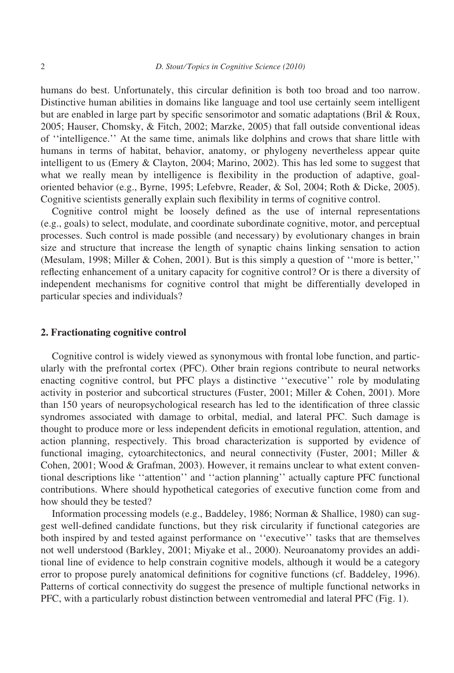humans do best. Unfortunately, this circular definition is both too broad and too narrow. Distinctive human abilities in domains like language and tool use certainly seem intelligent but are enabled in large part by specific sensorimotor and somatic adaptations (Bril & Roux, 2005; Hauser, Chomsky, & Fitch, 2002; Marzke, 2005) that fall outside conventional ideas of ''intelligence.'' At the same time, animals like dolphins and crows that share little with humans in terms of habitat, behavior, anatomy, or phylogeny nevertheless appear quite intelligent to us (Emery & Clayton, 2004; Marino, 2002). This has led some to suggest that what we really mean by intelligence is flexibility in the production of adaptive, goaloriented behavior (e.g., Byrne, 1995; Lefebvre, Reader, & Sol, 2004; Roth & Dicke, 2005). Cognitive scientists generally explain such flexibility in terms of cognitive control.

Cognitive control might be loosely defined as the use of internal representations (e.g., goals) to select, modulate, and coordinate subordinate cognitive, motor, and perceptual processes. Such control is made possible (and necessary) by evolutionary changes in brain size and structure that increase the length of synaptic chains linking sensation to action (Mesulam, 1998; Miller & Cohen, 2001). But is this simply a question of ''more is better,'' reflecting enhancement of a unitary capacity for cognitive control? Or is there a diversity of independent mechanisms for cognitive control that might be differentially developed in particular species and individuals?

### 2. Fractionating cognitive control

Cognitive control is widely viewed as synonymous with frontal lobe function, and particularly with the prefrontal cortex (PFC). Other brain regions contribute to neural networks enacting cognitive control, but PFC plays a distinctive ''executive'' role by modulating activity in posterior and subcortical structures (Fuster, 2001; Miller & Cohen, 2001). More than 150 years of neuropsychological research has led to the identification of three classic syndromes associated with damage to orbital, medial, and lateral PFC. Such damage is thought to produce more or less independent deficits in emotional regulation, attention, and action planning, respectively. This broad characterization is supported by evidence of functional imaging, cytoarchitectonics, and neural connectivity (Fuster, 2001; Miller & Cohen, 2001; Wood & Grafman, 2003). However, it remains unclear to what extent conventional descriptions like ''attention'' and ''action planning'' actually capture PFC functional contributions. Where should hypothetical categories of executive function come from and how should they be tested?

Information processing models (e.g., Baddeley, 1986; Norman & Shallice, 1980) can suggest well-defined candidate functions, but they risk circularity if functional categories are both inspired by and tested against performance on ''executive'' tasks that are themselves not well understood (Barkley, 2001; Miyake et al., 2000). Neuroanatomy provides an additional line of evidence to help constrain cognitive models, although it would be a category error to propose purely anatomical definitions for cognitive functions (cf. Baddeley, 1996). Patterns of cortical connectivity do suggest the presence of multiple functional networks in PFC, with a particularly robust distinction between ventromedial and lateral PFC (Fig. 1).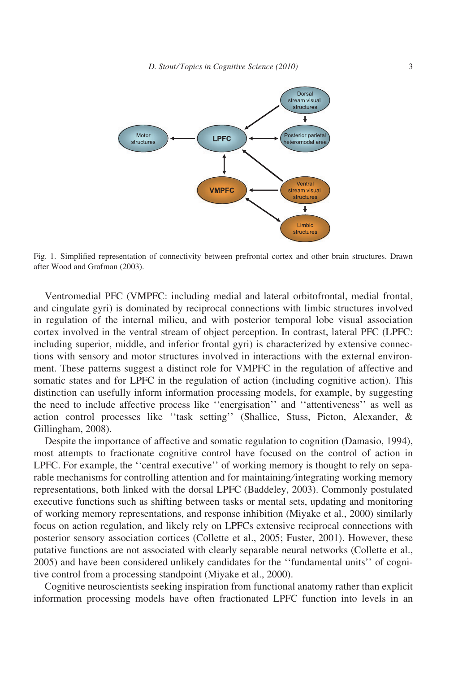

Fig. 1. Simplified representation of connectivity between prefrontal cortex and other brain structures. Drawn after Wood and Grafman (2003).

Ventromedial PFC (VMPFC: including medial and lateral orbitofrontal, medial frontal, and cingulate gyri) is dominated by reciprocal connections with limbic structures involved in regulation of the internal milieu, and with posterior temporal lobe visual association cortex involved in the ventral stream of object perception. In contrast, lateral PFC (LPFC: including superior, middle, and inferior frontal gyri) is characterized by extensive connections with sensory and motor structures involved in interactions with the external environment. These patterns suggest a distinct role for VMPFC in the regulation of affective and somatic states and for LPFC in the regulation of action (including cognitive action). This distinction can usefully inform information processing models, for example, by suggesting the need to include affective process like ''energisation'' and ''attentiveness'' as well as action control processes like ''task setting'' (Shallice, Stuss, Picton, Alexander, & Gillingham, 2008).

Despite the importance of affective and somatic regulation to cognition (Damasio, 1994), most attempts to fractionate cognitive control have focused on the control of action in LPFC. For example, the "central executive" of working memory is thought to rely on separable mechanisms for controlling attention and for maintaining/integrating working memory representations, both linked with the dorsal LPFC (Baddeley, 2003). Commonly postulated executive functions such as shifting between tasks or mental sets, updating and monitoring of working memory representations, and response inhibition (Miyake et al., 2000) similarly focus on action regulation, and likely rely on LPFCs extensive reciprocal connections with posterior sensory association cortices (Collette et al., 2005; Fuster, 2001). However, these putative functions are not associated with clearly separable neural networks (Collette et al., 2005) and have been considered unlikely candidates for the ''fundamental units'' of cognitive control from a processing standpoint (Miyake et al., 2000).

Cognitive neuroscientists seeking inspiration from functional anatomy rather than explicit information processing models have often fractionated LPFC function into levels in an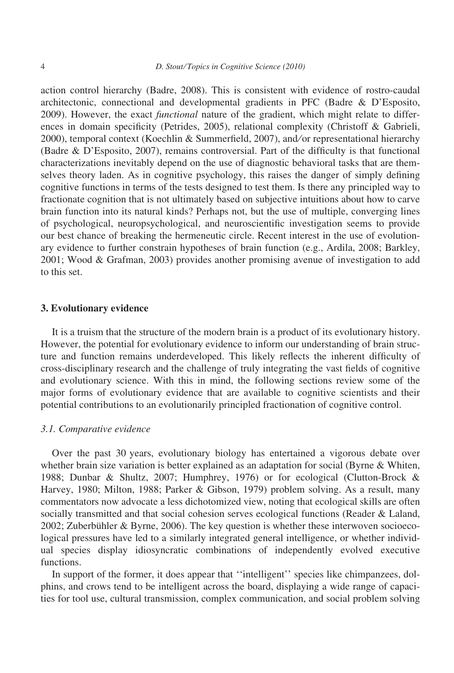action control hierarchy (Badre, 2008). This is consistent with evidence of rostro-caudal architectonic, connectional and developmental gradients in PFC (Badre & D'Esposito, 2009). However, the exact *functional* nature of the gradient, which might relate to differences in domain specificity (Petrides, 2005), relational complexity (Christoff & Gabrieli, 2000), temporal context (Koechlin & Summerfield, 2007), and/or representational hierarchy (Badre & D'Esposito, 2007), remains controversial. Part of the difficulty is that functional characterizations inevitably depend on the use of diagnostic behavioral tasks that are themselves theory laden. As in cognitive psychology, this raises the danger of simply defining cognitive functions in terms of the tests designed to test them. Is there any principled way to fractionate cognition that is not ultimately based on subjective intuitions about how to carve brain function into its natural kinds? Perhaps not, but the use of multiple, converging lines of psychological, neuropsychological, and neuroscientific investigation seems to provide our best chance of breaking the hermeneutic circle. Recent interest in the use of evolutionary evidence to further constrain hypotheses of brain function (e.g., Ardila, 2008; Barkley, 2001; Wood & Grafman, 2003) provides another promising avenue of investigation to add to this set.

# 3. Evolutionary evidence

It is a truism that the structure of the modern brain is a product of its evolutionary history. However, the potential for evolutionary evidence to inform our understanding of brain structure and function remains underdeveloped. This likely reflects the inherent difficulty of cross-disciplinary research and the challenge of truly integrating the vast fields of cognitive and evolutionary science. With this in mind, the following sections review some of the major forms of evolutionary evidence that are available to cognitive scientists and their potential contributions to an evolutionarily principled fractionation of cognitive control.

#### 3.1. Comparative evidence

Over the past 30 years, evolutionary biology has entertained a vigorous debate over whether brain size variation is better explained as an adaptation for social (Byrne & Whiten, 1988; Dunbar & Shultz, 2007; Humphrey, 1976) or for ecological (Clutton-Brock & Harvey, 1980; Milton, 1988; Parker & Gibson, 1979) problem solving. As a result, many commentators now advocate a less dichotomized view, noting that ecological skills are often socially transmitted and that social cohesion serves ecological functions (Reader & Laland, 2002; Zuberbühler & Byrne, 2006). The key question is whether these interwoven socioecological pressures have led to a similarly integrated general intelligence, or whether individual species display idiosyncratic combinations of independently evolved executive functions.

In support of the former, it does appear that ''intelligent'' species like chimpanzees, dolphins, and crows tend to be intelligent across the board, displaying a wide range of capacities for tool use, cultural transmission, complex communication, and social problem solving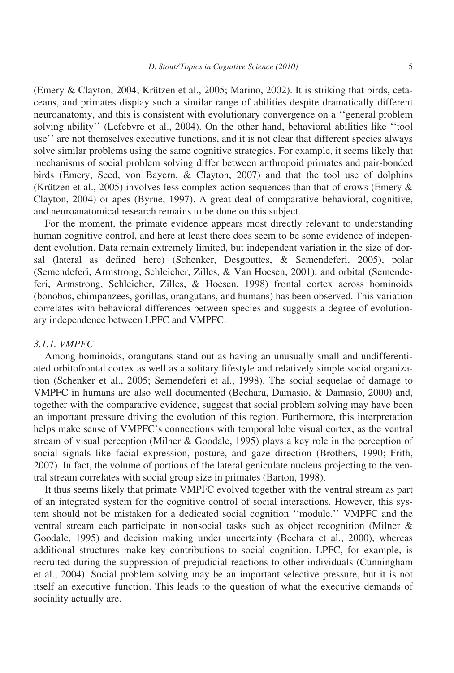(Emery & Clayton, 2004; Krützen et al., 2005; Marino, 2002). It is striking that birds, cetaceans, and primates display such a similar range of abilities despite dramatically different neuroanatomy, and this is consistent with evolutionary convergence on a ''general problem solving ability'' (Lefebvre et al., 2004). On the other hand, behavioral abilities like ''tool use'' are not themselves executive functions, and it is not clear that different species always solve similar problems using the same cognitive strategies. For example, it seems likely that mechanisms of social problem solving differ between anthropoid primates and pair-bonded birds (Emery, Seed, von Bayern, & Clayton, 2007) and that the tool use of dolphins (Krützen et al., 2005) involves less complex action sequences than that of crows (Emery  $\&$ Clayton, 2004) or apes (Byrne, 1997). A great deal of comparative behavioral, cognitive, and neuroanatomical research remains to be done on this subject.

For the moment, the primate evidence appears most directly relevant to understanding human cognitive control, and here at least there does seem to be some evidence of independent evolution. Data remain extremely limited, but independent variation in the size of dorsal (lateral as defined here) (Schenker, Desgouttes, & Semendeferi, 2005), polar (Semendeferi, Armstrong, Schleicher, Zilles, & Van Hoesen, 2001), and orbital (Semendeferi, Armstrong, Schleicher, Zilles, & Hoesen, 1998) frontal cortex across hominoids (bonobos, chimpanzees, gorillas, orangutans, and humans) has been observed. This variation correlates with behavioral differences between species and suggests a degree of evolutionary independence between LPFC and VMPFC.

#### 3.1.1. VMPFC

Among hominoids, orangutans stand out as having an unusually small and undifferentiated orbitofrontal cortex as well as a solitary lifestyle and relatively simple social organization (Schenker et al., 2005; Semendeferi et al., 1998). The social sequelae of damage to VMPFC in humans are also well documented (Bechara, Damasio, & Damasio, 2000) and, together with the comparative evidence, suggest that social problem solving may have been an important pressure driving the evolution of this region. Furthermore, this interpretation helps make sense of VMPFC's connections with temporal lobe visual cortex, as the ventral stream of visual perception (Milner & Goodale, 1995) plays a key role in the perception of social signals like facial expression, posture, and gaze direction (Brothers, 1990; Frith, 2007). In fact, the volume of portions of the lateral geniculate nucleus projecting to the ventral stream correlates with social group size in primates (Barton, 1998).

It thus seems likely that primate VMPFC evolved together with the ventral stream as part of an integrated system for the cognitive control of social interactions. However, this system should not be mistaken for a dedicated social cognition ''module.'' VMPFC and the ventral stream each participate in nonsocial tasks such as object recognition (Milner & Goodale, 1995) and decision making under uncertainty (Bechara et al., 2000), whereas additional structures make key contributions to social cognition. LPFC, for example, is recruited during the suppression of prejudicial reactions to other individuals (Cunningham et al., 2004). Social problem solving may be an important selective pressure, but it is not itself an executive function. This leads to the question of what the executive demands of sociality actually are.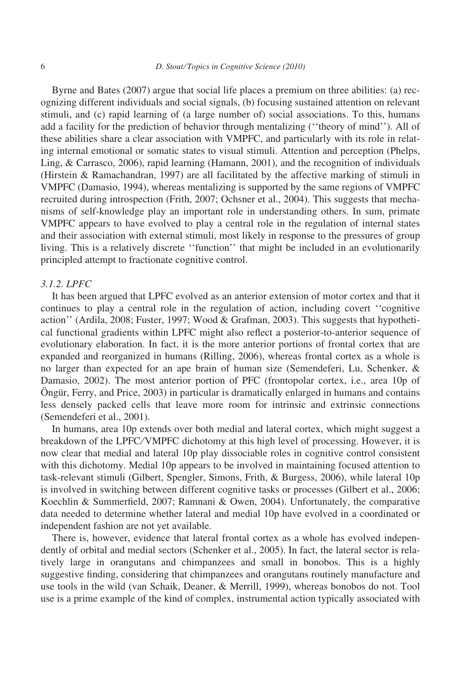Byrne and Bates (2007) argue that social life places a premium on three abilities: (a) recognizing different individuals and social signals, (b) focusing sustained attention on relevant stimuli, and (c) rapid learning of (a large number of) social associations. To this, humans add a facility for the prediction of behavior through mentalizing (''theory of mind''). All of these abilities share a clear association with VMPFC, and particularly with its role in relating internal emotional or somatic states to visual stimuli. Attention and perception (Phelps, Ling, & Carrasco, 2006), rapid learning (Hamann, 2001), and the recognition of individuals (Hirstein & Ramachandran, 1997) are all facilitated by the affective marking of stimuli in VMPFC (Damasio, 1994), whereas mentalizing is supported by the same regions of VMPFC recruited during introspection (Frith, 2007; Ochsner et al., 2004). This suggests that mechanisms of self-knowledge play an important role in understanding others. In sum, primate VMPFC appears to have evolved to play a central role in the regulation of internal states and their association with external stimuli, most likely in response to the pressures of group living. This is a relatively discrete ''function'' that might be included in an evolutionarily principled attempt to fractionate cognitive control.

#### 3.1.2. LPFC

It has been argued that LPFC evolved as an anterior extension of motor cortex and that it continues to play a central role in the regulation of action, including covert ''cognitive action'' (Ardila, 2008; Fuster, 1997; Wood & Grafman, 2003). This suggests that hypothetical functional gradients within LPFC might also reflect a posterior-to-anterior sequence of evolutionary elaboration. In fact, it is the more anterior portions of frontal cortex that are expanded and reorganized in humans (Rilling, 2006), whereas frontal cortex as a whole is no larger than expected for an ape brain of human size (Semendeferi, Lu, Schenker, & Damasio, 2002). The most anterior portion of PFC (frontopolar cortex, i.e., area 10p of Öngür, Ferry, and Price, 2003) in particular is dramatically enlarged in humans and contains less densely packed cells that leave more room for intrinsic and extrinsic connections (Semendeferi et al., 2001).

In humans, area 10p extends over both medial and lateral cortex, which might suggest a breakdown of the LPFC⁄VMPFC dichotomy at this high level of processing. However, it is now clear that medial and lateral 10p play dissociable roles in cognitive control consistent with this dichotomy. Medial 10p appears to be involved in maintaining focused attention to task-relevant stimuli (Gilbert, Spengler, Simons, Frith, & Burgess, 2006), while lateral 10p is involved in switching between different cognitive tasks or processes (Gilbert et al., 2006; Koechlin & Summerfield, 2007; Ramnani & Owen, 2004). Unfortunately, the comparative data needed to determine whether lateral and medial 10p have evolved in a coordinated or independent fashion are not yet available.

There is, however, evidence that lateral frontal cortex as a whole has evolved independently of orbital and medial sectors (Schenker et al., 2005). In fact, the lateral sector is relatively large in orangutans and chimpanzees and small in bonobos. This is a highly suggestive finding, considering that chimpanzees and orangutans routinely manufacture and use tools in the wild (van Schaik, Deaner, & Merrill, 1999), whereas bonobos do not. Tool use is a prime example of the kind of complex, instrumental action typically associated with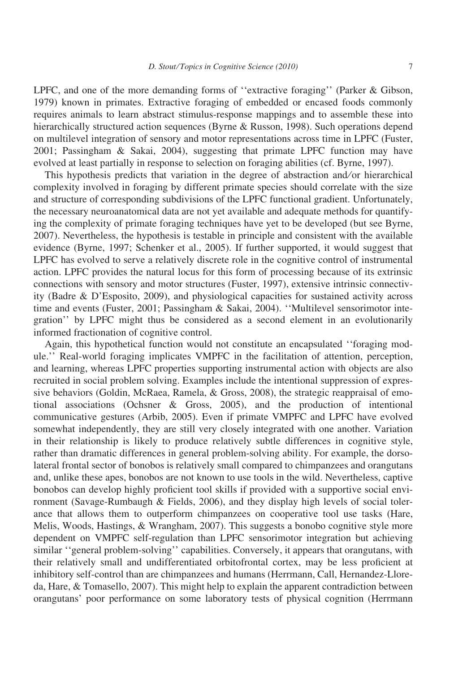LPFC, and one of the more demanding forms of ''extractive foraging'' (Parker & Gibson, 1979) known in primates. Extractive foraging of embedded or encased foods commonly requires animals to learn abstract stimulus-response mappings and to assemble these into hierarchically structured action sequences (Byrne & Russon, 1998). Such operations depend on multilevel integration of sensory and motor representations across time in LPFC (Fuster, 2001; Passingham & Sakai, 2004), suggesting that primate LPFC function may have evolved at least partially in response to selection on foraging abilities (cf. Byrne, 1997).

This hypothesis predicts that variation in the degree of abstraction and/or hierarchical complexity involved in foraging by different primate species should correlate with the size and structure of corresponding subdivisions of the LPFC functional gradient. Unfortunately, the necessary neuroanatomical data are not yet available and adequate methods for quantifying the complexity of primate foraging techniques have yet to be developed (but see Byrne, 2007). Nevertheless, the hypothesis is testable in principle and consistent with the available evidence (Byrne, 1997; Schenker et al., 2005). If further supported, it would suggest that LPFC has evolved to serve a relatively discrete role in the cognitive control of instrumental action. LPFC provides the natural locus for this form of processing because of its extrinsic connections with sensory and motor structures (Fuster, 1997), extensive intrinsic connectivity (Badre & D'Esposito, 2009), and physiological capacities for sustained activity across time and events (Fuster, 2001; Passingham & Sakai, 2004). ''Multilevel sensorimotor integration'' by LPFC might thus be considered as a second element in an evolutionarily informed fractionation of cognitive control.

Again, this hypothetical function would not constitute an encapsulated ''foraging module.'' Real-world foraging implicates VMPFC in the facilitation of attention, perception, and learning, whereas LPFC properties supporting instrumental action with objects are also recruited in social problem solving. Examples include the intentional suppression of expressive behaviors (Goldin, McRaea, Ramela, & Gross, 2008), the strategic reappraisal of emotional associations (Ochsner & Gross, 2005), and the production of intentional communicative gestures (Arbib, 2005). Even if primate VMPFC and LPFC have evolved somewhat independently, they are still very closely integrated with one another. Variation in their relationship is likely to produce relatively subtle differences in cognitive style, rather than dramatic differences in general problem-solving ability. For example, the dorsolateral frontal sector of bonobos is relatively small compared to chimpanzees and orangutans and, unlike these apes, bonobos are not known to use tools in the wild. Nevertheless, captive bonobos can develop highly proficient tool skills if provided with a supportive social environment (Savage-Rumbaugh & Fields, 2006), and they display high levels of social tolerance that allows them to outperform chimpanzees on cooperative tool use tasks (Hare, Melis, Woods, Hastings, & Wrangham, 2007). This suggests a bonobo cognitive style more dependent on VMPFC self-regulation than LPFC sensorimotor integration but achieving similar ''general problem-solving'' capabilities. Conversely, it appears that orangutans, with their relatively small and undifferentiated orbitofrontal cortex, may be less proficient at inhibitory self-control than are chimpanzees and humans (Herrmann, Call, Hernandez-Lloreda, Hare, & Tomasello, 2007). This might help to explain the apparent contradiction between orangutans' poor performance on some laboratory tests of physical cognition (Herrmann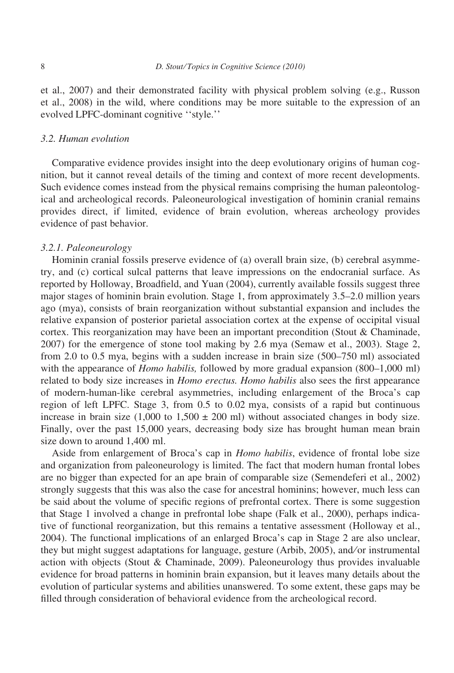et al., 2007) and their demonstrated facility with physical problem solving (e.g., Russon et al., 2008) in the wild, where conditions may be more suitable to the expression of an evolved LPFC-dominant cognitive ''style.''

## 3.2. Human evolution

Comparative evidence provides insight into the deep evolutionary origins of human cognition, but it cannot reveal details of the timing and context of more recent developments. Such evidence comes instead from the physical remains comprising the human paleontological and archeological records. Paleoneurological investigation of hominin cranial remains provides direct, if limited, evidence of brain evolution, whereas archeology provides evidence of past behavior.

#### 3.2.1. Paleoneurology

Hominin cranial fossils preserve evidence of (a) overall brain size, (b) cerebral asymmetry, and (c) cortical sulcal patterns that leave impressions on the endocranial surface. As reported by Holloway, Broadfield, and Yuan (2004), currently available fossils suggest three major stages of hominin brain evolution. Stage 1, from approximately 3.5–2.0 million years ago (mya), consists of brain reorganization without substantial expansion and includes the relative expansion of posterior parietal association cortex at the expense of occipital visual cortex. This reorganization may have been an important precondition (Stout & Chaminade, 2007) for the emergence of stone tool making by 2.6 mya (Semaw et al., 2003). Stage 2, from 2.0 to 0.5 mya, begins with a sudden increase in brain size (500–750 ml) associated with the appearance of *Homo habilis*, followed by more gradual expansion (800–1,000 ml) related to body size increases in *Homo erectus. Homo habilis* also sees the first appearance of modern-human-like cerebral asymmetries, including enlargement of the Broca's cap region of left LPFC. Stage 3, from 0.5 to 0.02 mya, consists of a rapid but continuous increase in brain size  $(1,000 \text{ to } 1,500 \pm 200 \text{ ml})$  without associated changes in body size. Finally, over the past 15,000 years, decreasing body size has brought human mean brain size down to around 1,400 ml.

Aside from enlargement of Broca's cap in Homo habilis, evidence of frontal lobe size and organization from paleoneurology is limited. The fact that modern human frontal lobes are no bigger than expected for an ape brain of comparable size (Semendeferi et al., 2002) strongly suggests that this was also the case for ancestral hominins; however, much less can be said about the volume of specific regions of prefrontal cortex. There is some suggestion that Stage 1 involved a change in prefrontal lobe shape (Falk et al., 2000), perhaps indicative of functional reorganization, but this remains a tentative assessment (Holloway et al., 2004). The functional implications of an enlarged Broca's cap in Stage 2 are also unclear, they but might suggest adaptations for language, gesture (Arbib, 2005), and/or instrumental action with objects (Stout & Chaminade, 2009). Paleoneurology thus provides invaluable evidence for broad patterns in hominin brain expansion, but it leaves many details about the evolution of particular systems and abilities unanswered. To some extent, these gaps may be filled through consideration of behavioral evidence from the archeological record.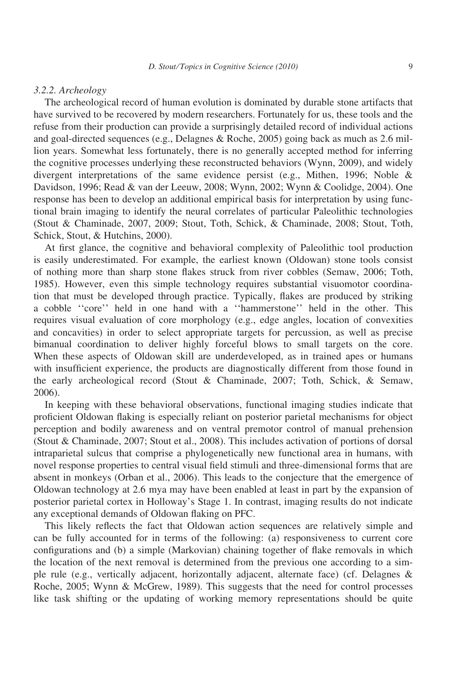#### 3.2.2. Archeology

The archeological record of human evolution is dominated by durable stone artifacts that have survived to be recovered by modern researchers. Fortunately for us, these tools and the refuse from their production can provide a surprisingly detailed record of individual actions and goal-directed sequences (e.g., Delagnes & Roche, 2005) going back as much as 2.6 million years. Somewhat less fortunately, there is no generally accepted method for inferring the cognitive processes underlying these reconstructed behaviors (Wynn, 2009), and widely divergent interpretations of the same evidence persist (e.g., Mithen, 1996; Noble & Davidson, 1996; Read & van der Leeuw, 2008; Wynn, 2002; Wynn & Coolidge, 2004). One response has been to develop an additional empirical basis for interpretation by using functional brain imaging to identify the neural correlates of particular Paleolithic technologies (Stout & Chaminade, 2007, 2009; Stout, Toth, Schick, & Chaminade, 2008; Stout, Toth, Schick, Stout, & Hutchins, 2000).

At first glance, the cognitive and behavioral complexity of Paleolithic tool production is easily underestimated. For example, the earliest known (Oldowan) stone tools consist of nothing more than sharp stone flakes struck from river cobbles (Semaw, 2006; Toth, 1985). However, even this simple technology requires substantial visuomotor coordination that must be developed through practice. Typically, flakes are produced by striking a cobble ''core'' held in one hand with a ''hammerstone'' held in the other. This requires visual evaluation of core morphology (e.g., edge angles, location of convexities and concavities) in order to select appropriate targets for percussion, as well as precise bimanual coordination to deliver highly forceful blows to small targets on the core. When these aspects of Oldowan skill are underdeveloped, as in trained apes or humans with insufficient experience, the products are diagnostically different from those found in the early archeological record (Stout & Chaminade, 2007; Toth, Schick, & Semaw, 2006).

In keeping with these behavioral observations, functional imaging studies indicate that proficient Oldowan flaking is especially reliant on posterior parietal mechanisms for object perception and bodily awareness and on ventral premotor control of manual prehension (Stout & Chaminade, 2007; Stout et al., 2008). This includes activation of portions of dorsal intraparietal sulcus that comprise a phylogenetically new functional area in humans, with novel response properties to central visual field stimuli and three-dimensional forms that are absent in monkeys (Orban et al., 2006). This leads to the conjecture that the emergence of Oldowan technology at 2.6 mya may have been enabled at least in part by the expansion of posterior parietal cortex in Holloway's Stage 1. In contrast, imaging results do not indicate any exceptional demands of Oldowan flaking on PFC.

This likely reflects the fact that Oldowan action sequences are relatively simple and can be fully accounted for in terms of the following: (a) responsiveness to current core configurations and (b) a simple (Markovian) chaining together of flake removals in which the location of the next removal is determined from the previous one according to a simple rule (e.g., vertically adjacent, horizontally adjacent, alternate face) (cf. Delagnes & Roche, 2005; Wynn & McGrew, 1989). This suggests that the need for control processes like task shifting or the updating of working memory representations should be quite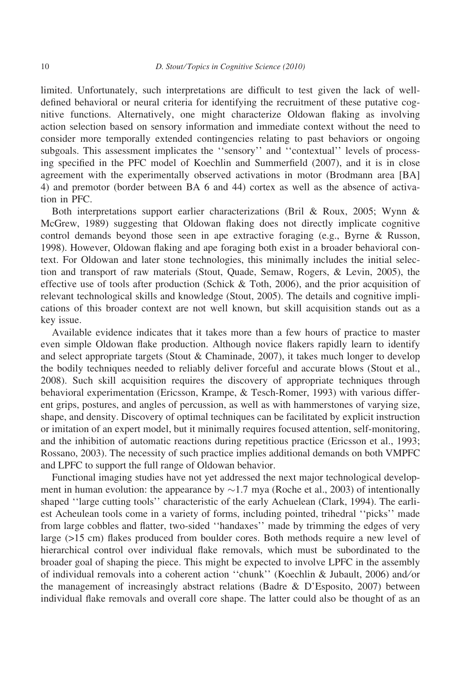limited. Unfortunately, such interpretations are difficult to test given the lack of welldefined behavioral or neural criteria for identifying the recruitment of these putative cognitive functions. Alternatively, one might characterize Oldowan flaking as involving action selection based on sensory information and immediate context without the need to consider more temporally extended contingencies relating to past behaviors or ongoing subgoals. This assessment implicates the ''sensory'' and ''contextual'' levels of processing specified in the PFC model of Koechlin and Summerfield (2007), and it is in close agreement with the experimentally observed activations in motor (Brodmann area [BA] 4) and premotor (border between BA 6 and 44) cortex as well as the absence of activation in PFC.

Both interpretations support earlier characterizations (Bril & Roux, 2005; Wynn & McGrew, 1989) suggesting that Oldowan flaking does not directly implicate cognitive control demands beyond those seen in ape extractive foraging (e.g., Byrne & Russon, 1998). However, Oldowan flaking and ape foraging both exist in a broader behavioral context. For Oldowan and later stone technologies, this minimally includes the initial selection and transport of raw materials (Stout, Quade, Semaw, Rogers, & Levin, 2005), the effective use of tools after production (Schick & Toth, 2006), and the prior acquisition of relevant technological skills and knowledge (Stout, 2005). The details and cognitive implications of this broader context are not well known, but skill acquisition stands out as a key issue.

Available evidence indicates that it takes more than a few hours of practice to master even simple Oldowan flake production. Although novice flakers rapidly learn to identify and select appropriate targets (Stout & Chaminade, 2007), it takes much longer to develop the bodily techniques needed to reliably deliver forceful and accurate blows (Stout et al., 2008). Such skill acquisition requires the discovery of appropriate techniques through behavioral experimentation (Ericsson, Krampe, & Tesch-Romer, 1993) with various different grips, postures, and angles of percussion, as well as with hammerstones of varying size, shape, and density. Discovery of optimal techniques can be facilitated by explicit instruction or imitation of an expert model, but it minimally requires focused attention, self-monitoring, and the inhibition of automatic reactions during repetitious practice (Ericsson et al., 1993; Rossano, 2003). The necessity of such practice implies additional demands on both VMPFC and LPFC to support the full range of Oldowan behavior.

Functional imaging studies have not yet addressed the next major technological development in human evolution: the appearance by  $\sim$ 1.7 mya (Roche et al., 2003) of intentionally shaped ''large cutting tools'' characteristic of the early Achuelean (Clark, 1994). The earliest Acheulean tools come in a variety of forms, including pointed, trihedral ''picks'' made from large cobbles and flatter, two-sided ''handaxes'' made by trimming the edges of very large (>15 cm) flakes produced from boulder cores. Both methods require a new level of hierarchical control over individual flake removals, which must be subordinated to the broader goal of shaping the piece. This might be expected to involve LPFC in the assembly of individual removals into a coherent action ''chunk'' (Koechlin & Jubault, 2006) and ⁄ or the management of increasingly abstract relations (Badre & D'Esposito, 2007) between individual flake removals and overall core shape. The latter could also be thought of as an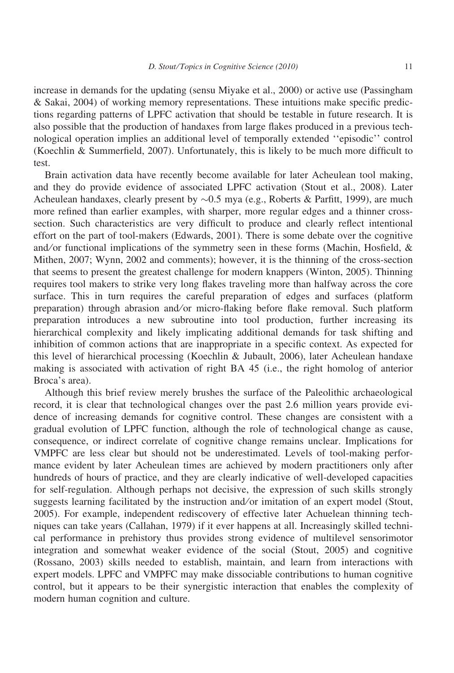increase in demands for the updating (sensu Miyake et al., 2000) or active use (Passingham & Sakai, 2004) of working memory representations. These intuitions make specific predictions regarding patterns of LPFC activation that should be testable in future research. It is also possible that the production of handaxes from large flakes produced in a previous technological operation implies an additional level of temporally extended ''episodic'' control (Koechlin & Summerfield, 2007). Unfortunately, this is likely to be much more difficult to test.

Brain activation data have recently become available for later Acheulean tool making, and they do provide evidence of associated LPFC activation (Stout et al., 2008). Later Acheulean handaxes, clearly present by  $\sim 0.5$  mya (e.g., Roberts & Parfitt, 1999), are much more refined than earlier examples, with sharper, more regular edges and a thinner crosssection. Such characteristics are very difficult to produce and clearly reflect intentional effort on the part of tool-makers (Edwards, 2001). There is some debate over the cognitive and/or functional implications of the symmetry seen in these forms (Machin, Hosfield,  $\&$ Mithen, 2007; Wynn, 2002 and comments); however, it is the thinning of the cross-section that seems to present the greatest challenge for modern knappers (Winton, 2005). Thinning requires tool makers to strike very long flakes traveling more than halfway across the core surface. This in turn requires the careful preparation of edges and surfaces (platform preparation) through abrasion and/or micro-flaking before flake removal. Such platform preparation introduces a new subroutine into tool production, further increasing its hierarchical complexity and likely implicating additional demands for task shifting and inhibition of common actions that are inappropriate in a specific context. As expected for this level of hierarchical processing (Koechlin & Jubault, 2006), later Acheulean handaxe making is associated with activation of right BA 45 (i.e., the right homolog of anterior Broca's area).

Although this brief review merely brushes the surface of the Paleolithic archaeological record, it is clear that technological changes over the past 2.6 million years provide evidence of increasing demands for cognitive control. These changes are consistent with a gradual evolution of LPFC function, although the role of technological change as cause, consequence, or indirect correlate of cognitive change remains unclear. Implications for VMPFC are less clear but should not be underestimated. Levels of tool-making performance evident by later Acheulean times are achieved by modern practitioners only after hundreds of hours of practice, and they are clearly indicative of well-developed capacities for self-regulation. Although perhaps not decisive, the expression of such skills strongly suggests learning facilitated by the instruction and ⁄ or imitation of an expert model (Stout, 2005). For example, independent rediscovery of effective later Achuelean thinning techniques can take years (Callahan, 1979) if it ever happens at all. Increasingly skilled technical performance in prehistory thus provides strong evidence of multilevel sensorimotor integration and somewhat weaker evidence of the social (Stout, 2005) and cognitive (Rossano, 2003) skills needed to establish, maintain, and learn from interactions with expert models. LPFC and VMPFC may make dissociable contributions to human cognitive control, but it appears to be their synergistic interaction that enables the complexity of modern human cognition and culture.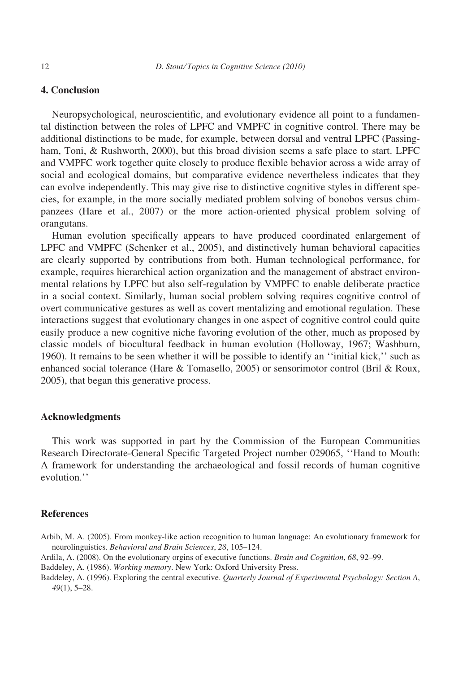# 4. Conclusion

Neuropsychological, neuroscientific, and evolutionary evidence all point to a fundamental distinction between the roles of LPFC and VMPFC in cognitive control. There may be additional distinctions to be made, for example, between dorsal and ventral LPFC (Passingham, Toni, & Rushworth, 2000), but this broad division seems a safe place to start. LPFC and VMPFC work together quite closely to produce flexible behavior across a wide array of social and ecological domains, but comparative evidence nevertheless indicates that they can evolve independently. This may give rise to distinctive cognitive styles in different species, for example, in the more socially mediated problem solving of bonobos versus chimpanzees (Hare et al., 2007) or the more action-oriented physical problem solving of orangutans.

Human evolution specifically appears to have produced coordinated enlargement of LPFC and VMPFC (Schenker et al., 2005), and distinctively human behavioral capacities are clearly supported by contributions from both. Human technological performance, for example, requires hierarchical action organization and the management of abstract environmental relations by LPFC but also self-regulation by VMPFC to enable deliberate practice in a social context. Similarly, human social problem solving requires cognitive control of overt communicative gestures as well as covert mentalizing and emotional regulation. These interactions suggest that evolutionary changes in one aspect of cognitive control could quite easily produce a new cognitive niche favoring evolution of the other, much as proposed by classic models of biocultural feedback in human evolution (Holloway, 1967; Washburn, 1960). It remains to be seen whether it will be possible to identify an ''initial kick,'' such as enhanced social tolerance (Hare & Tomasello, 2005) or sensorimotor control (Bril & Roux, 2005), that began this generative process.

#### Acknowledgments

This work was supported in part by the Commission of the European Communities Research Directorate-General Specific Targeted Project number 029065, ''Hand to Mouth: A framework for understanding the archaeological and fossil records of human cognitive evolution.''

#### **References**

- Arbib, M. A. (2005). From monkey-like action recognition to human language: An evolutionary framework for neurolinguistics. Behavioral and Brain Sciences, 28, 105–124.
- Ardila, A. (2008). On the evolutionary orgins of executive functions. Brain and Cognition, 68, 92–99.
- Baddeley, A. (1986). Working memory. New York: Oxford University Press.
- Baddeley, A. (1996). Exploring the central executive. Quarterly Journal of Experimental Psychology: Section A, 49(1), 5–28.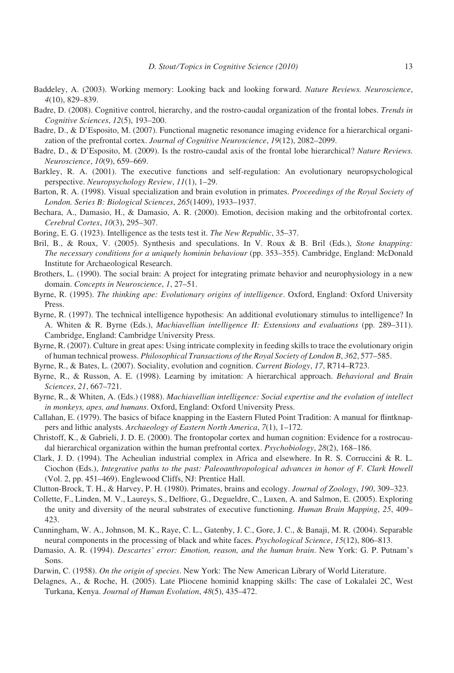- Baddeley, A. (2003). Working memory: Looking back and looking forward. Nature Reviews. Neuroscience, 4(10), 829–839.
- Badre, D. (2008). Cognitive control, hierarchy, and the rostro-caudal organization of the frontal lobes. Trends in Cognitive Sciences, 12(5), 193–200.
- Badre, D., & D'Esposito, M. (2007). Functional magnetic resonance imaging evidence for a hierarchical organization of the prefrontal cortex. Journal of Cognitive Neuroscience, 19(12), 2082–2099.
- Badre, D., & D'Esposito, M. (2009). Is the rostro-caudal axis of the frontal lobe hierarchical? Nature Reviews. Neuroscience, 10(9), 659–669.
- Barkley, R. A. (2001). The executive functions and self-regulation: An evolutionary neuropsychological perspective. Neuropsychology Review, 11(1), 1–29.
- Barton, R. A. (1998). Visual specialization and brain evolution in primates. Proceedings of the Royal Society of London. Series B: Biological Sciences, 265(1409), 1933–1937.
- Bechara, A., Damasio, H., & Damasio, A. R. (2000). Emotion, decision making and the orbitofrontal cortex. Cerebral Cortex, 10(3), 295–307.
- Boring, E. G. (1923). Intelligence as the tests test it. The New Republic, 35–37.
- Bril, B., & Roux, V. (2005). Synthesis and speculations. In V. Roux & B. Bril (Eds.), Stone knapping: The necessary conditions for a uniquely hominin behaviour (pp. 353–355). Cambridge, England: McDonald Institute for Archaeological Research.
- Brothers, L. (1990). The social brain: A project for integrating primate behavior and neurophysiology in a new domain. Concepts in Neuroscience, 1, 27–51.
- Byrne, R. (1995). The thinking ape: Evolutionary origins of intelligence. Oxford, England: Oxford University Press.
- Byrne, R. (1997). The technical intelligence hypothesis: An additional evolutionary stimulus to intelligence? In A. Whiten & R. Byrne (Eds.), Machiavellian intelligence II: Extensions and evaluations (pp. 289–311). Cambridge, England: Cambridge University Press.
- Byrne, R. (2007). Culture in great apes: Using intricate complexity in feeding skills to trace the evolutionary origin of human technical prowess. Philosophical Transactions of the Royal Society of London B, 362, 577–585.
- Byrne, R., & Bates, L. (2007). Sociality, evolution and cognition. Current Biology, 17, R714–R723.
- Byrne, R., & Russon, A. E. (1998). Learning by imitation: A hierarchical approach. Behavioral and Brain Sciences, 21, 667–721.
- Byrne, R., & Whiten, A. (Eds.) (1988). Machiavellian intelligence: Social expertise and the evolution of intellect in monkeys, apes, and humans. Oxford, England: Oxford University Press.
- Callahan, E. (1979). The basics of biface knapping in the Eastern Fluted Point Tradition: A manual for flintknappers and lithic analysts. Archaeology of Eastern North America, 7(1), 1-172.
- Christoff, K., & Gabrieli, J. D. E. (2000). The frontopolar cortex and human cognition: Evidence for a rostrocaudal hierarchical organization within the human prefrontal cortex. *Psychobiology*, 28(2), 168–186.
- Clark, J. D. (1994). The Acheulian industrial complex in Africa and elsewhere. In R. S. Corruccini & R. L. Ciochon (Eds.), Integrative paths to the past: Paleoanthropological advances in honor of F. Clark Howell (Vol. 2, pp. 451–469). Englewood Cliffs, NJ: Prentice Hall.
- Clutton-Brock, T. H., & Harvey, P. H. (1980). Primates, brains and ecology. Journal of Zoology, 190, 309–323.
- Collette, F., Linden, M. V., Laureys, S., Delfiore, G., Degueldre, C., Luxen, A. and Salmon, E. (2005). Exploring the unity and diversity of the neural substrates of executive functioning. Human Brain Mapping, 25, 409– 423.
- Cunningham, W. A., Johnson, M. K., Raye, C. L., Gatenby, J. C., Gore, J. C., & Banaji, M. R. (2004). Separable neural components in the processing of black and white faces. Psychological Science, 15(12), 806–813.
- Damasio, A. R. (1994). Descartes' error: Emotion, reason, and the human brain. New York: G. P. Putnam's Sons.
- Darwin, C. (1958). On the origin of species. New York: The New American Library of World Literature.
- Delagnes, A., & Roche, H. (2005). Late Pliocene hominid knapping skills: The case of Lokalalei 2C, West Turkana, Kenya. Journal of Human Evolution, 48(5), 435–472.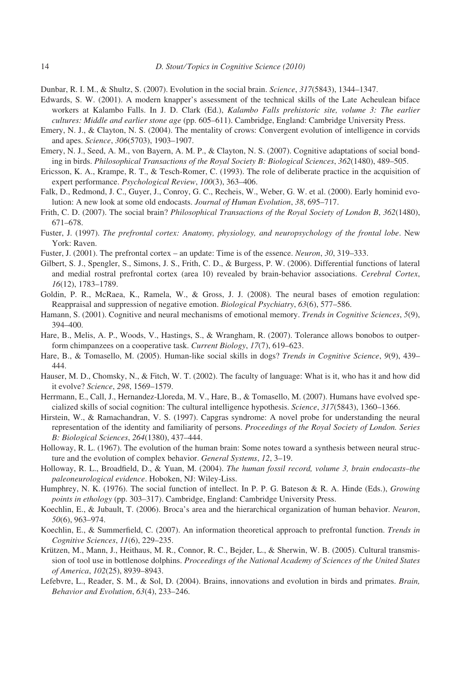Dunbar, R. I. M., & Shultz, S. (2007). Evolution in the social brain. Science, 317(5843), 1344–1347.

- Edwards, S. W. (2001). A modern knapper's assessment of the technical skills of the Late Acheulean biface workers at Kalambo Falls. In J. D. Clark (Ed.), Kalambo Falls prehistoric site, volume 3: The earlier cultures: Middle and earlier stone age (pp. 605–611). Cambridge, England: Cambridge University Press.
- Emery, N. J., & Clayton, N. S. (2004). The mentality of crows: Convergent evolution of intelligence in corvids and apes. Science, 306(5703), 1903–1907.
- Emery, N. J., Seed, A. M., von Bayern, A. M. P., & Clayton, N. S. (2007). Cognitive adaptations of social bonding in birds. Philosophical Transactions of the Royal Society B: Biological Sciences, 362(1480), 489–505.
- Ericsson, K. A., Krampe, R. T., & Tesch-Romer, C. (1993). The role of deliberate practice in the acquisition of expert performance. Psychological Review, 100(3), 363–406.
- Falk, D., Redmond, J. C., Guyer, J., Conroy, G. C., Recheis, W., Weber, G. W. et al. (2000). Early hominid evolution: A new look at some old endocasts. Journal of Human Evolution, 38, 695–717.
- Frith, C. D. (2007). The social brain? *Philosophical Transactions of the Royal Society of London B*, 362(1480), 671–678.
- Fuster, J. (1997). The prefrontal cortex: Anatomy, physiology, and neuropsychology of the frontal lobe. New York: Raven.
- Fuster, J. (2001). The prefrontal cortex an update: Time is of the essence. Neuron, 30, 319–333.
- Gilbert, S. J., Spengler, S., Simons, J. S., Frith, C. D., & Burgess, P. W. (2006). Differential functions of lateral and medial rostral prefrontal cortex (area 10) revealed by brain-behavior associations. Cerebral Cortex, 16(12), 1783–1789.
- Goldin, P. R., McRaea, K., Ramela, W., & Gross, J. J. (2008). The neural bases of emotion regulation: Reappraisal and suppression of negative emotion. Biological Psychiatry, 63(6), 577–586.
- Hamann, S. (2001). Cognitive and neural mechanisms of emotional memory. Trends in Cognitive Sciences, 5(9), 394–400.
- Hare, B., Melis, A. P., Woods, V., Hastings, S., & Wrangham, R. (2007). Tolerance allows bonobos to outperform chimpanzees on a cooperative task. Current Biology, 17(7), 619–623.
- Hare, B., & Tomasello, M. (2005). Human-like social skills in dogs? Trends in Cognitive Science, 9(9), 439-444.
- Hauser, M. D., Chomsky, N., & Fitch, W. T. (2002). The faculty of language: What is it, who has it and how did it evolve? Science, 298, 1569–1579.
- Herrmann, E., Call, J., Hernandez-Lloreda, M. V., Hare, B., & Tomasello, M. (2007). Humans have evolved specialized skills of social cognition: The cultural intelligence hypothesis. Science, 317(5843), 1360–1366.
- Hirstein, W., & Ramachandran, V. S. (1997). Capgras syndrome: A novel probe for understanding the neural representation of the identity and familiarity of persons. Proceedings of the Royal Society of London. Series B: Biological Sciences, 264(1380), 437–444.
- Holloway, R. L. (1967). The evolution of the human brain: Some notes toward a synthesis between neural structure and the evolution of complex behavior. General Systems, 12, 3–19.
- Holloway, R. L., Broadfield, D., & Yuan, M. (2004). The human fossil record, volume 3, brain endocasts–the paleoneurological evidence. Hoboken, NJ: Wiley-Liss.
- Humphrey, N. K. (1976). The social function of intellect. In P. P. G. Bateson & R. A. Hinde (Eds.), Growing points in ethology (pp. 303–317). Cambridge, England: Cambridge University Press.
- Koechlin, E., & Jubault, T. (2006). Broca's area and the hierarchical organization of human behavior. Neuron, 50(6), 963–974.
- Koechlin, E., & Summerfield, C. (2007). An information theoretical approach to prefrontal function. Trends in Cognitive Sciences, 11(6), 229–235.
- Krützen, M., Mann, J., Heithaus, M. R., Connor, R. C., Bejder, L., & Sherwin, W. B. (2005). Cultural transmission of tool use in bottlenose dolphins. Proceedings of the National Academy of Sciences of the United States of America, 102(25), 8939–8943.
- Lefebvre, L., Reader, S. M., & Sol, D. (2004). Brains, innovations and evolution in birds and primates. Brain, Behavior and Evolution, 63(4), 233–246.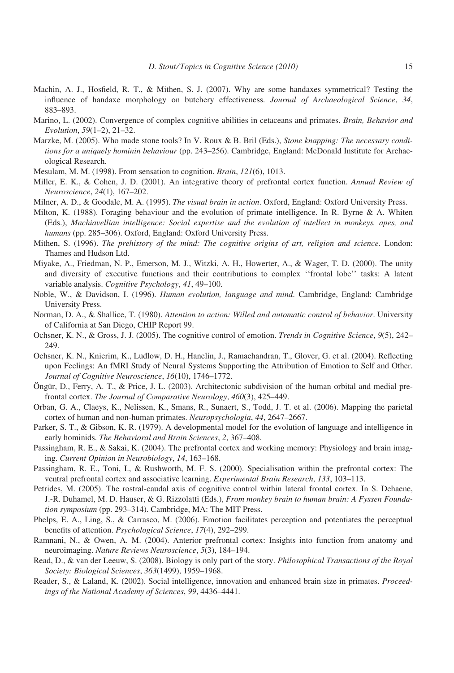- Machin, A. J., Hosfield, R. T., & Mithen, S. J. (2007). Why are some handaxes symmetrical? Testing the influence of handaxe morphology on butchery effectiveness. Journal of Archaeological Science, 34, 883–893.
- Marino, L. (2002). Convergence of complex cognitive abilities in cetaceans and primates. *Brain, Behavior and* Evolution, 59(1–2), 21–32.
- Marzke, M. (2005). Who made stone tools? In V. Roux & B. Bril (Eds.), Stone knapping: The necessary conditions for a uniquely hominin behaviour (pp. 243-256). Cambridge, England: McDonald Institute for Archaeological Research.
- Mesulam, M. M. (1998). From sensation to cognition. Brain, 121(6), 1013.
- Miller, E. K., & Cohen, J. D. (2001). An integrative theory of prefrontal cortex function. Annual Review of Neuroscience, 24(1), 167–202.
- Milner, A. D., & Goodale, M. A. (1995). The visual brain in action. Oxford, England: Oxford University Press.
- Milton, K. (1988). Foraging behaviour and the evolution of primate intelligence. In R. Byrne & A. Whiten (Eds.), Machiavellian intelligence: Social expertise and the evolution of intellect in monkeys, apes, and humans (pp. 285–306). Oxford, England: Oxford University Press.
- Mithen, S. (1996). The prehistory of the mind: The cognitive origins of art, religion and science. London: Thames and Hudson Ltd.
- Miyake, A., Friedman, N. P., Emerson, M. J., Witzki, A. H., Howerter, A., & Wager, T. D. (2000). The unity and diversity of executive functions and their contributions to complex ''frontal lobe'' tasks: A latent variable analysis. Cognitive Psychology, 41, 49-100.
- Noble, W., & Davidson, I. (1996). Human evolution, language and mind. Cambridge, England: Cambridge University Press.
- Norman, D. A., & Shallice, T. (1980). Attention to action: Willed and automatic control of behavior. University of California at San Diego, CHIP Report 99.
- Ochsner, K. N., & Gross, J. J. (2005). The cognitive control of emotion. Trends in Cognitive Science, 9(5), 242– 249.
- Ochsner, K. N., Knierim, K., Ludlow, D. H., Hanelin, J., Ramachandran, T., Glover, G. et al. (2004). Reflecting upon Feelings: An fMRI Study of Neural Systems Supporting the Attribution of Emotion to Self and Other. Journal of Cognitive Neuroscience, 16(10), 1746–1772.
- Öngür, D., Ferry, A. T., & Price, J. L. (2003). Architectonic subdivision of the human orbital and medial prefrontal cortex. The Journal of Comparative Neurology, 460(3), 425–449.
- Orban, G. A., Claeys, K., Nelissen, K., Smans, R., Sunaert, S., Todd, J. T. et al. (2006). Mapping the parietal cortex of human and non-human primates. Neuropsychologia, 44, 2647–2667.
- Parker, S. T., & Gibson, K. R. (1979). A developmental model for the evolution of language and intelligence in early hominids. The Behavioral and Brain Sciences, 2, 367–408.
- Passingham, R. E., & Sakai, K. (2004). The prefrontal cortex and working memory: Physiology and brain imaging. Current Opinion in Neurobiology, 14, 163–168.
- Passingham, R. E., Toni, I., & Rushworth, M. F. S. (2000). Specialisation within the prefrontal cortex: The ventral prefrontal cortex and associative learning. Experimental Brain Research, 133, 103–113.
- Petrides, M. (2005). The rostral-caudal axis of cognitive control within lateral frontal cortex. In S. Dehaene, J.-R. Duhamel, M. D. Hauser, & G. Rizzolatti (Eds.), From monkey brain to human brain: A Fyssen Foundation symposium (pp. 293–314). Cambridge, MA: The MIT Press.
- Phelps, E. A., Ling, S., & Carrasco, M. (2006). Emotion facilitates perception and potentiates the perceptual benefits of attention. Psychological Science, 17(4), 292–299.
- Ramnani, N., & Owen, A. M. (2004). Anterior prefrontal cortex: Insights into function from anatomy and neuroimaging. Nature Reviews Neuroscience, 5(3), 184–194.
- Read, D., & van der Leeuw, S. (2008). Biology is only part of the story. Philosophical Transactions of the Royal Society: Biological Sciences, 363(1499), 1959–1968.
- Reader, S., & Laland, K. (2002). Social intelligence, innovation and enhanced brain size in primates. Proceedings of the National Academy of Sciences, 99, 4436–4441.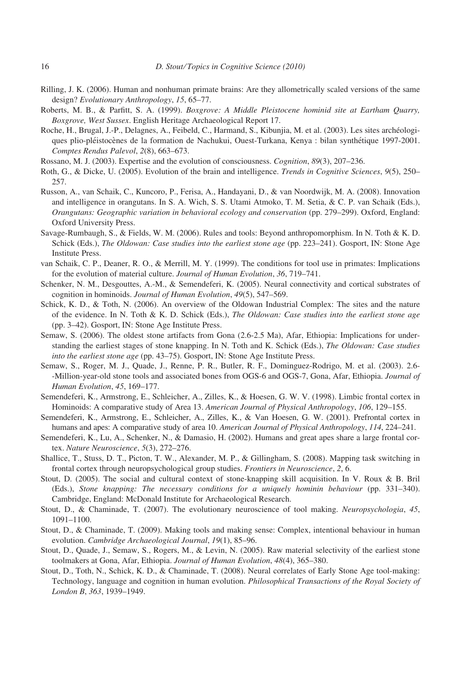- Rilling, J. K. (2006). Human and nonhuman primate brains: Are they allometrically scaled versions of the same design? Evolutionary Anthropology, 15, 65–77.
- Roberts, M. B., & Parfitt, S. A. (1999). Boxgrove: A Middle Pleistocene hominid site at Eartham Quarry, Boxgrove, West Sussex. English Heritage Archaeological Report 17.
- Roche, H., Brugal, J.-P., Delagnes, A., Feibeld, C., Harmand, S., Kibunjia, M. et al. (2003). Les sites archéologiques plio-pléistocènes de la formation de Nachukui, Ouest-Turkana, Kenya : bilan synthétique 1997-2001. Comptes Rendus Palevol, 2(8), 663–673.
- Rossano, M. J. (2003). Expertise and the evolution of consciousness. Cognition, 89(3), 207–236.
- Roth, G., & Dicke, U. (2005). Evolution of the brain and intelligence. Trends in Cognitive Sciences, 9(5), 250– 257.
- Russon, A., van Schaik, C., Kuncoro, P., Ferisa, A., Handayani, D., & van Noordwijk, M. A. (2008). Innovation and intelligence in orangutans. In S. A. Wich, S. S. Utami Atmoko, T. M. Setia, & C. P. van Schaik (Eds.), Orangutans: Geographic variation in behavioral ecology and conservation (pp. 279–299). Oxford, England: Oxford University Press.
- Savage-Rumbaugh, S., & Fields, W. M. (2006). Rules and tools: Beyond anthropomorphism. In N. Toth & K. D. Schick (Eds.), The Oldowan: Case studies into the earliest stone age (pp. 223-241). Gosport, IN: Stone Age Institute Press.
- van Schaik, C. P., Deaner, R. O., & Merrill, M. Y. (1999). The conditions for tool use in primates: Implications for the evolution of material culture. Journal of Human Evolution, 36, 719–741.
- Schenker, N. M., Desgouttes, A.-M., & Semendeferi, K. (2005). Neural connectivity and cortical substrates of cognition in hominoids. Journal of Human Evolution, 49(5), 547–569.
- Schick, K. D., & Toth, N. (2006). An overview of the Oldowan Industrial Complex: The sites and the nature of the evidence. In N. Toth & K. D. Schick (Eds.), The Oldowan: Case studies into the earliest stone age (pp. 3–42). Gosport, IN: Stone Age Institute Press.
- Semaw, S. (2006). The oldest stone artifacts from Gona (2.6-2.5 Ma), Afar, Ethiopia: Implications for understanding the earliest stages of stone knapping. In N. Toth and K. Schick (Eds.), The Oldowan: Case studies into the earliest stone age (pp. 43–75). Gosport, IN: Stone Age Institute Press.
- Semaw, S., Roger, M. J., Quade, J., Renne, P. R., Butler, R. F., Dominguez-Rodrigo, M. et al. (2003). 2.6- -Million-year-old stone tools and associated bones from OGS-6 and OGS-7, Gona, Afar, Ethiopia. Journal of Human Evolution, 45, 169–177.
- Semendeferi, K., Armstrong, E., Schleicher, A., Zilles, K., & Hoesen, G. W. V. (1998). Limbic frontal cortex in Hominoids: A comparative study of Area 13. American Journal of Physical Anthropology, 106, 129–155.
- Semendeferi, K., Armstrong, E., Schleicher, A., Zilles, K., & Van Hoesen, G. W. (2001). Prefrontal cortex in humans and apes: A comparative study of area 10. American Journal of Physical Anthropology, 114, 224–241.
- Semendeferi, K., Lu, A., Schenker, N., & Damasio, H. (2002). Humans and great apes share a large frontal cortex. Nature Neuroscience, 5(3), 272–276.
- Shallice, T., Stuss, D. T., Picton, T. W., Alexander, M. P., & Gillingham, S. (2008). Mapping task switching in frontal cortex through neuropsychological group studies. Frontiers in Neuroscience, 2, 6.
- Stout, D. (2005). The social and cultural context of stone-knapping skill acquisition. In V. Roux & B. Bril (Eds.), Stone knapping: The necessary conditions for a uniquely hominin behaviour (pp. 331–340). Cambridge, England: McDonald Institute for Archaeological Research.
- Stout, D., & Chaminade, T. (2007). The evolutionary neuroscience of tool making. Neuropsychologia, 45, 1091–1100.
- Stout, D., & Chaminade, T. (2009). Making tools and making sense: Complex, intentional behaviour in human evolution. Cambridge Archaeological Journal, 19(1), 85–96.
- Stout, D., Quade, J., Semaw, S., Rogers, M., & Levin, N. (2005). Raw material selectivity of the earliest stone toolmakers at Gona, Afar, Ethiopia. Journal of Human Evolution, 48(4), 365–380.
- Stout, D., Toth, N., Schick, K. D., & Chaminade, T. (2008). Neural correlates of Early Stone Age tool-making: Technology, language and cognition in human evolution. Philosophical Transactions of the Royal Society of London B, 363, 1939–1949.